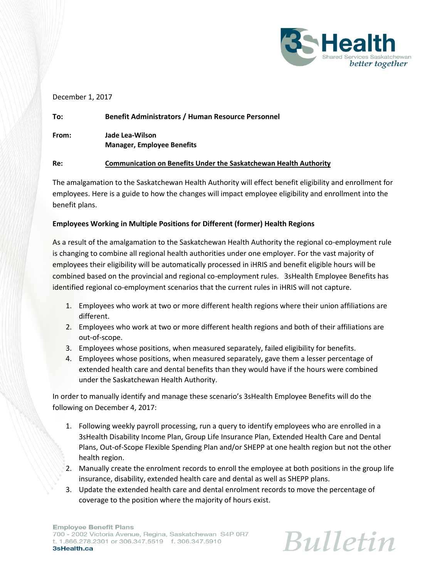

### December 1, 2017

| To:   | <b>Benefit Administrators / Human Resource Personnel</b>                 |
|-------|--------------------------------------------------------------------------|
| From: | Jade Lea-Wilson<br><b>Manager, Employee Benefits</b>                     |
| Re:   | <b>Communication on Benefits Under the Saskatchewan Health Authority</b> |

The amalgamation to the Saskatchewan Health Authority will effect benefit eligibility and enrollment for employees. Here is a guide to how the changes will impact employee eligibility and enrollment into the benefit plans.

# **Employees Working in Multiple Positions for Different (former) Health Regions**

As a result of the amalgamation to the Saskatchewan Health Authority the regional co-employment rule is changing to combine all regional health authorities under one employer. For the vast majority of employees their eligibility will be automatically processed in iHRIS and benefit eligible hours will be combined based on the provincial and regional co-employment rules. 3sHealth Employee Benefits has identified regional co-employment scenarios that the current rules in iHRIS will not capture.

- 1. Employees who work at two or more different health regions where their union affiliations are different.
- 2. Employees who work at two or more different health regions and both of their affiliations are out-of-scope.
- 3. Employees whose positions, when measured separately, failed eligibility for benefits.
- 4. Employees whose positions, when measured separately, gave them a lesser percentage of extended health care and dental benefits than they would have if the hours were combined under the Saskatchewan Health Authority.

In order to manually identify and manage these scenario's 3sHealth Employee Benefits will do the following on December 4, 2017:

- 1. Following weekly payroll processing, run a query to identify employees who are enrolled in a 3sHealth Disability Income Plan, Group Life Insurance Plan, Extended Health Care and Dental Plans, Out-of-Scope Flexible Spending Plan and/or SHEPP at one health region but not the other health region.
- 2. Manually create the enrolment records to enroll the employee at both positions in the group life insurance, disability, extended health care and dental as well as SHEPP plans.
- 3. Update the extended health care and dental enrolment records to move the percentage of coverage to the position where the majority of hours exist.

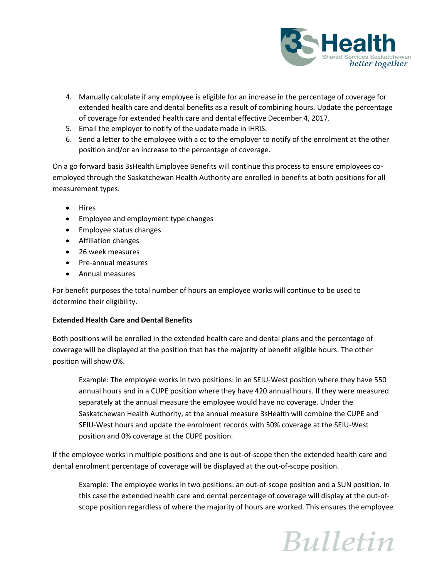

- 4. Manually calculate if any employee is eligible for an increase in the percentage of coverage for extended health care and dental benefits as a result of combining hours. Update the percentage of coverage for extended health care and dental effective December 4, 2017.
- 5. Email the employer to notify of the update made in iHRIS.
- 6. Send a letter to the employee with a cc to the employer to notify of the enrolment at the other position and/or an increase to the percentage of coverage.

On a go forward basis 3sHealth Employee Benefits will continue this process to ensure employees coemployed through the Saskatchewan Health Authority are enrolled in benefits at both positions for all measurement types:

- Hires
- Employee and employment type changes
- Employee status changes
- Affiliation changes
- 26 week measures
- Pre-annual measures
- Annual measures

For benefit purposes the total number of hours an employee works will continue to be used to determine their eligibility.

### **Extended Health Care and Dental Benefits**

Both positions will be enrolled in the extended health care and dental plans and the percentage of coverage will be displayed at the position that has the majority of benefit eligible hours. The other position will show 0%.

Example: The employee works in two positions: in an SEIU-West position where they have 550 annual hours and in a CUPE position where they have 420 annual hours. If they were measured separately at the annual measure the employee would have no coverage. Under the Saskatchewan Health Authority, at the annual measure 3sHealth will combine the CUPE and SEIU-West hours and update the enrolment records with 50% coverage at the SEIU-West position and 0% coverage at the CUPE position.

If the employee works in multiple positions and one is out-of-scope then the extended health care and dental enrolment percentage of coverage will be displayed at the out-of-scope position.

Example: The employee works in two positions: an out-of-scope position and a SUN position. In this case the extended health care and dental percentage of coverage will display at the out-ofscope position regardless of where the majority of hours are worked. This ensures the employee

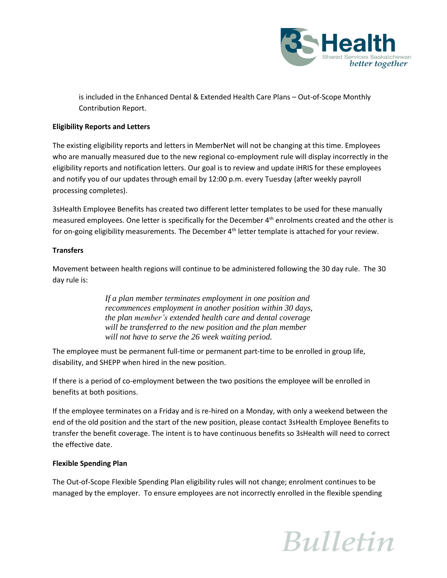

is included in the Enhanced Dental & Extended Health Care Plans – Out-of-Scope Monthly Contribution Report.

## **Eligibility Reports and Letters**

The existing eligibility reports and letters in MemberNet will not be changing at this time. Employees who are manually measured due to the new regional co-employment rule will display incorrectly in the eligibility reports and notification letters. Our goal is to review and update iHRIS for these employees and notify you of our updates through email by 12:00 p.m. every Tuesday (after weekly payroll processing completes).

3sHealth Employee Benefits has created two different letter templates to be used for these manually measured employees. One letter is specifically for the December  $4<sup>th</sup>$  enrolments created and the other is for on-going eligibility measurements. The December  $4<sup>th</sup>$  letter template is attached for your review.

### **Transfers**

Movement between health regions will continue to be administered following the 30 day rule. The 30 day rule is:

> *If a plan member terminates employment in one position and recommences employment in another position within 30 days, the plan member's extended health care and dental coverage will be transferred to the new position and the plan member will not have to serve the 26 week waiting period.*

The employee must be permanent full-time or permanent part-time to be enrolled in group life, disability, and SHEPP when hired in the new position.

If there is a period of co-employment between the two positions the employee will be enrolled in benefits at both positions.

If the employee terminates on a Friday and is re-hired on a Monday, with only a weekend between the end of the old position and the start of the new position, please contact 3sHealth Employee Benefits to transfer the benefit coverage. The intent is to have continuous benefits so 3sHealth will need to correct the effective date.

### **Flexible Spending Plan**

The Out-of-Scope Flexible Spending Plan eligibility rules will not change; enrolment continues to be managed by the employer. To ensure employees are not incorrectly enrolled in the flexible spending